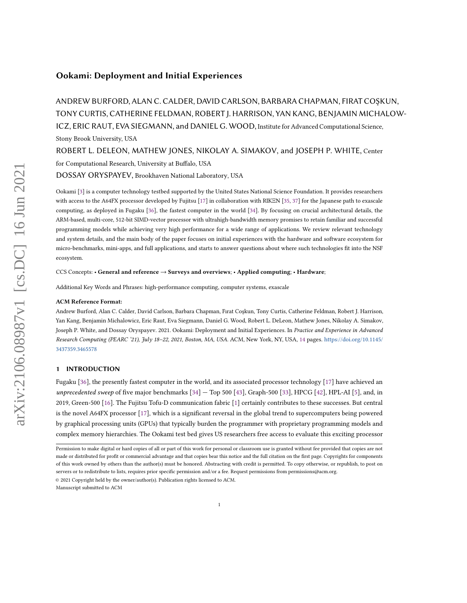# Ookami: Deployment and Initial Experiences

ANDREW BURFORD, ALAN C. CALDER, DAVID CARLSON, BARBARA CHAPMAN, FIRAT COŞKUN, TONY CURTIS, CATHERINE FELDMAN, ROBERT J. HARRISON, YAN KANG, BENJAMIN MICHALOW-ICZ, ERIC RAUT, EVA SIEGMANN, and DANIEL G. WOOD, Institute for Advanced Computational Science, Stony Brook University, USA

ROBERT L. DELEON, MATHEW JONES, NIKOLAY A. SIMAKOV, and JOSEPH P. WHITE, Center for Computational Research, University at Buffalo, USA

DOSSAY ORYSPAYEV, Brookhaven National Laboratory, USA

Ookami [\[3\]](#page-12-0) is a computer technology testbed supported by the United States National Science Foundation. It provides researchers with access to the A64FX processor developed by Fujitsu [\[17\]](#page-12-1) in collaboration with RIKΞN [\[35,](#page-13-0) [37\]](#page-13-1) for the Japanese path to exascale computing, as deployed in Fugaku [\[36\]](#page-13-2), the fastest computer in the world [\[34\]](#page-13-3). By focusing on crucial architectural details, the ARM-based, multi-core, 512-bit SIMD-vector processor with ultrahigh-bandwidth memory promises to retain familiar and successful programming models while achieving very high performance for a wide range of applications. We review relevant technology and system details, and the main body of the paper focuses on initial experiences with the hardware and software ecosystem for micro-benchmarks, mini-apps, and full applications, and starts to answer questions about where such technologies fit into the NSF ecosystem.

CCS Concepts: • General and reference → Surveys and overviews; • Applied computing; • Hardware;

Additional Key Words and Phrases: high-performance computing, computer systems, exascale

### ACM Reference Format:

Andrew Burford, Alan C. Calder, David Carlson, Barbara Chapman, Fırat Coşkun, Tony Curtis, Catherine Feldman, Robert J. Harrison, Yan Kang, Benjamin Michalowicz, Eric Raut, Eva Siegmann, Daniel G. Wood, Robert L. DeLeon, Mathew Jones, Nikolay A. Simakov, Joseph P. White, and Dossay Oryspayev. 2021. Ookami: Deployment and Initial Experiences. In Practice and Experience in Advanced Research Computing (PEARC '21), July 18–22, 2021, Boston, MA, USA. ACM, New York, NY, USA, [14](#page-13-4) pages. [https://doi.org/10.1145/](https://doi.org/10.1145/3437359.3465578) [3437359.3465578](https://doi.org/10.1145/3437359.3465578)

## 1 INTRODUCTION

Fugaku [\[36\]](#page-13-2), the presently fastest computer in the world, and its associated processor technology [\[17\]](#page-12-1) have achieved an unprecedented sweep of five major benchmarks  $[34]$  – Top 500  $[43]$ , Graph-500  $[33]$ , HPCG  $[42]$ , HPL-AI  $[5]$ , and, in 2019, Green-500 [\[16\]](#page-12-3). The Fujitsu Tofu-D communication fabric [\[1\]](#page-12-4) certainly contributes to these successes. But central is the novel A64FX processor [\[17\]](#page-12-1), which is a significant reversal in the global trend to supercomputers being powered by graphical processing units (GPUs) that typically burden the programmer with proprietary programming models and complex memory hierarchies. The Ookami test bed gives US researchers free access to evaluate this exciting processor

© 2021 Copyright held by the owner/author(s). Publication rights licensed to ACM.

Manuscript submitted to ACM

Permission to make digital or hard copies of all or part of this work for personal or classroom use is granted without fee provided that copies are not made or distributed for profit or commercial advantage and that copies bear this notice and the full citation on the first page. Copyrights for components of this work owned by others than the author(s) must be honored. Abstracting with credit is permitted. To copy otherwise, or republish, to post on servers or to redistribute to lists, requires prior specific permission and/or a fee. Request permissions from permissions@acm.org.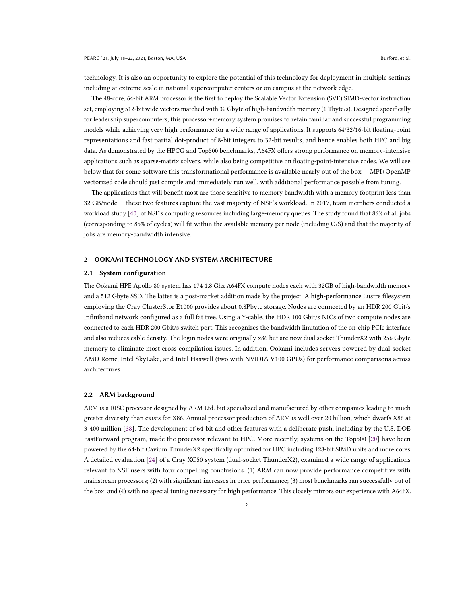technology. It is also an opportunity to explore the potential of this technology for deployment in multiple settings including at extreme scale in national supercomputer centers or on campus at the network edge.

The 48-core, 64-bit ARM processor is the first to deploy the Scalable Vector Extension (SVE) SIMD-vector instruction set, employing 512-bit wide vectors matched with 32 Gbyte of high-bandwidth memory (1 Tbyte/s). Designed specifically for leadership supercomputers, this processor+memory system promises to retain familiar and successful programming models while achieving very high performance for a wide range of applications. It supports 64/32/16-bit floating-point representations and fast partial dot-product of 8-bit integers to 32-bit results, and hence enables both HPC and big data. As demonstrated by the HPCG and Top500 benchmarks, A64FX offers strong performance on memory-intensive applications such as sparse-matrix solvers, while also being competitive on floating-point-intensive codes. We will see below that for some software this transformational performance is available nearly out of the box — MPI+OpenMP vectorized code should just compile and immediately run well, with additional performance possible from tuning.

The applications that will benefit most are those sensitive to memory bandwidth with a memory footprint less than 32 GB/node — these two features capture the vast majority of NSF's workload. In 2017, team members conducted a workload study [\[40\]](#page-13-8) of NSF's computing resources including large-memory queues. The study found that 86% of all jobs (corresponding to 85% of cycles) will fit within the available memory per node (including O/S) and that the majority of jobs are memory-bandwidth intensive.

## 2 OOKAMI TECHNOLOGY AND SYSTEM ARCHITECTURE

#### 2.1 System configuration

The Ookami HPE Apollo 80 system has 174 1.8 Ghz A64FX compute nodes each with 32GB of high-bandwidth memory and a 512 Gbyte SSD. The latter is a post-market addition made by the project. A high-performance Lustre filesystem employing the Cray ClusterStor E1000 provides about 0.8Pbyte storage. Nodes are connected by an HDR 200 Gbit/s Infiniband network configured as a full fat tree. Using a Y-cable, the HDR 100 Gbit/s NICs of two compute nodes are connected to each HDR 200 Gbit/s switch port. This recognizes the bandwidth limitation of the on-chip PCIe interface and also reduces cable density. The login nodes were originally x86 but are now dual socket ThunderX2 with 256 Gbyte memory to eliminate most cross-compilation issues. In addition, Ookami includes servers powered by dual-socket AMD Rome, Intel SkyLake, and Intel Haswell (two with NVIDIA V100 GPUs) for performance comparisons across architectures.

#### 2.2 ARM background

ARM is a RISC processor designed by ARM Ltd. but specialized and manufactured by other companies leading to much greater diversity than exists for X86. Annual processor production of ARM is well over 20 billion, which dwarfs X86 at 3-400 million [\[38\]](#page-13-9). The development of 64-bit and other features with a deliberate push, including by the U.S. DOE FastForward program, made the processor relevant to HPC. More recently, systems on the Top500 [\[20\]](#page-12-5) have been powered by the 64-bit Cavium ThunderX2 specifically optimized for HPC including 128-bit SIMD units and more cores. A detailed evaluation [\[24\]](#page-13-10) of a Cray XC50 system (dual-socket ThunderX2), examined a wide range of applications relevant to NSF users with four compelling conclusions: (1) ARM can now provide performance competitive with mainstream processors; (2) with significant increases in price performance; (3) most benchmarks ran successfully out of the box; and (4) with no special tuning necessary for high performance. This closely mirrors our experience with A64FX,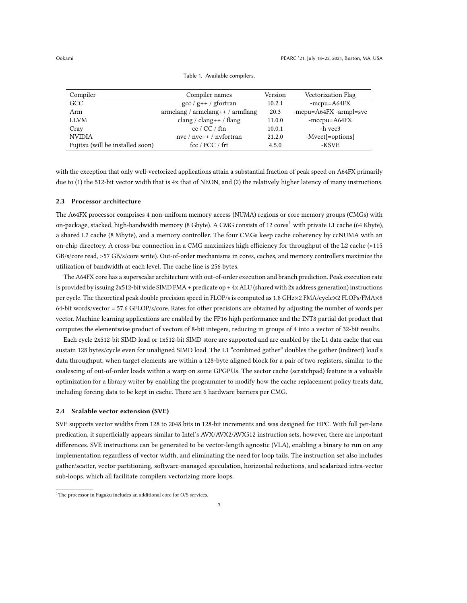| Compiler                         | Compiler names                                                | Version | <b>Vectorization Flag</b> |
|----------------------------------|---------------------------------------------------------------|---------|---------------------------|
| GCC                              | $\gcd$ / $g$ ++ / gfortran                                    | 10.2.1  | $-mcpu = A64FX$           |
| Arm                              | $\alpha$ armclang / $\alpha$ armclang + + / $\alpha$ armflang | 20.3    | -mcpu=A64FX -armpl=sve    |
| <b>LLVM</b>                      | clang / clang++ / flang                                       | 11.0.0  | $-mccpu = A64FX$          |
| Cray                             | cc / CC / ftn                                                 | 10.0.1  | -h vec3                   |
| <b>NVIDIA</b>                    | $nvc / nvc++ / nvfortran$                                     | 21.2.0  | -Mvect[=options]          |
| Fujitsu (will be installed soon) | fcc / FCC / frt                                               | 4.5.0   | -KSVE                     |

Table 1. Available compilers.

with the exception that only well-vectorized applications attain a substantial fraction of peak speed on A64FX primarily due to (1) the 512-bit vector width that is 4x that of NEON, and (2) the relatively higher latency of many instructions.

## 2.3 Processor architecture

The A64FX processor comprises 4 non-uniform memory access (NUMA) regions or core memory groups (CMGs) with on-package, stacked, high-bandwidth memory (8 Gbyte). A CMG consists of [1](#page-2-0)2 cores<sup>1</sup> with private L1 cache (64 Kbyte), a shared L2 cache (8 Mbyte), and a memory controller. The four CMGs keep cache coherency by ccNUMA with an on-chip directory. A cross-bar connection in a CMG maximizes high efficiency for throughput of the L2 cache (>115 GB/s/core read, >57 GB/s/core write). Out-of-order mechanisms in cores, caches, and memory controllers maximize the utilization of bandwidth at each level. The cache line is 256 bytes.

The A64FX core has a superscalar architecture with out-of-order execution and branch prediction. Peak execution rate is provided by issuing 2x512-bit wide SIMD FMA + predicate op + 4x ALU (shared with 2x address generation) instructions per cycle. The theoretical peak double precision speed in FLOP/s is computed as 1.8 GHz×2 FMA/cycle×2 FLOPs/FMA×8 64-bit words/vector = 57.6 GFLOP/s/core. Rates for other precisions are obtained by adjusting the number of words per vector. Machine learning applications are enabled by the FP16 high performance and the INT8 partial dot product that computes the elementwise product of vectors of 8-bit integers, reducing in groups of 4 into a vector of 32-bit results.

Each cycle 2x512-bit SIMD load or 1x512-bit SIMD store are supported and are enabled by the L1 data cache that can sustain 128 bytes/cycle even for unaligned SIMD load. The L1 "combined gather" doubles the gather (indirect) load's data throughput, when target elements are within a 128-byte aligned block for a pair of two registers, similar to the coalescing of out-of-order loads within a warp on some GPGPUs. The sector cache (scratchpad) feature is a valuable optimization for a library writer by enabling the programmer to modify how the cache replacement policy treats data, including forcing data to be kept in cache. There are 6 hardware barriers per CMG.

## 2.4 Scalable vector extension (SVE)

SVE supports vector widths from 128 to 2048 bits in 128-bit increments and was designed for HPC. With full per-lane predication, it superficially appears similar to Intel's AVX/AVX2/AVX512 instruction sets, however, there are important differences. SVE instructions can be generated to be vector-length agnostic (VLA), enabling a binary to run on any implementation regardless of vector width, and eliminating the need for loop tails. The instruction set also includes gather/scatter, vector partitioning, software-managed speculation, horizontal reductions, and scalarized intra-vector sub-loops, which all facilitate compilers vectorizing more loops.

<span id="page-2-1"></span>

<span id="page-2-0"></span> $^{1}\mathrm{The}$  processor in Fugaku includes an additional core for O/S services.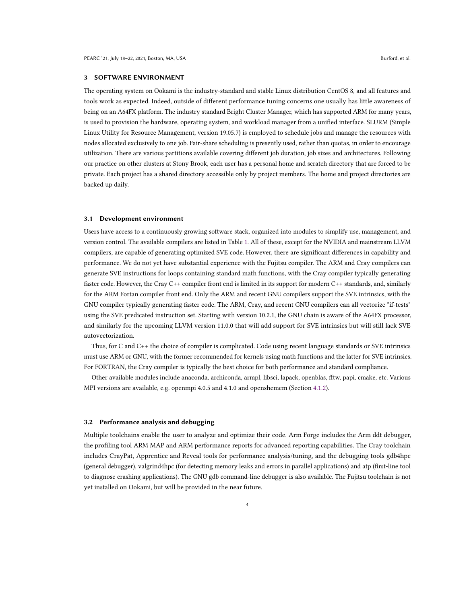### 3 SOFTWARE ENVIRONMENT

The operating system on Ookami is the industry-standard and stable Linux distribution CentOS 8, and all features and tools work as expected. Indeed, outside of different performance tuning concerns one usually has little awareness of being on an A64FX platform. The industry standard Bright Cluster Manager, which has supported ARM for many years, is used to provision the hardware, operating system, and workload manager from a unified interface. SLURM (Simple Linux Utility for Resource Management, version 19.05.7) is employed to schedule jobs and manage the resources with nodes allocated exclusively to one job. Fair-share scheduling is presently used, rather than quotas, in order to encourage utilization. There are various partitions available covering different job duration, job sizes and architectures. Following our practice on other clusters at Stony Brook, each user has a personal home and scratch directory that are forced to be private. Each project has a shared directory accessible only by project members. The home and project directories are backed up daily.

#### 3.1 Development environment

Users have access to a continuously growing software stack, organized into modules to simplify use, management, and version control. The available compilers are listed in Table [1.](#page-2-1) All of these, except for the NVIDIA and mainstream LLVM compilers, are capable of generating optimized SVE code. However, there are significant differences in capability and performance. We do not yet have substantial experience with the Fujitsu compiler. The ARM and Cray compilers can generate SVE instructions for loops containing standard math functions, with the Cray compiler typically generating faster code. However, the Cray C++ compiler front end is limited in its support for modern C++ standards, and, similarly for the ARM Fortan compiler front end. Only the ARM and recent GNU compilers support the SVE intrinsics, with the GNU compiler typically generating faster code. The ARM, Cray, and recent GNU compilers can all vectorize "if-tests" using the SVE predicated instruction set. Starting with version 10.2.1, the GNU chain is aware of the A64FX processor, and similarly for the upcoming LLVM version 11.0.0 that will add support for SVE intrinsics but will still lack SVE autovectorization.

Thus, for C and C++ the choice of compiler is complicated. Code using recent language standards or SVE intrinsics must use ARM or GNU, with the former recommended for kernels using math functions and the latter for SVE intrinsics. For FORTRAN, the Cray compiler is typically the best choice for both performance and standard compliance.

Other available modules include anaconda, archiconda, armpl, libsci, lapack, openblas, fftw, papi, cmake, etc. Various MPI versions are available, e.g. openmpi 4.0.5 and 4.1.0 and openshemem (Section [4.1.2\)](#page-5-0).

#### 3.2 Performance analysis and debugging

Multiple toolchains enable the user to analyze and optimize their code. Arm Forge includes the Arm ddt debugger, the profiling tool ARM MAP and ARM performance reports for advanced reporting capabilities. The Cray toolchain includes CrayPat, Apprentice and Reveal tools for performance analysis/tuning, and the debugging tools gdb4hpc (general debugger), valgrind4hpc (for detecting memory leaks and errors in parallel applications) and atp (first-line tool to diagnose crashing applications). The GNU gdb command-line debugger is also available. The Fujitsu toolchain is not yet installed on Ookami, but will be provided in the near future.

4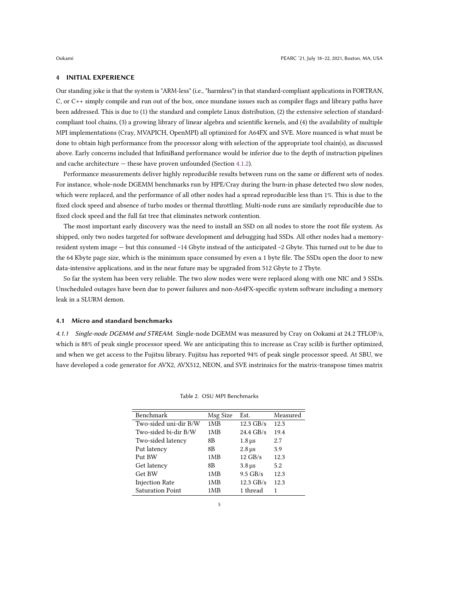### 4 INITIAL EXPERIENCE

Our standing joke is that the system is "ARM-less" (i.e., "harmless") in that standard-compliant applications in FORTRAN, C, or C++ simply compile and run out of the box, once mundane issues such as compiler flags and library paths have been addressed. This is due to (1) the standard and complete Linux distribution, (2) the extensive selection of standardcompliant tool chains, (3) a growing library of linear algebra and scientific kernels, and (4) the availability of multiple MPI implementations (Cray, MVAPICH, OpenMPI) all optimized for A64FX and SVE. More nuanced is what must be done to obtain high performance from the processor along with selection of the appropriate tool chain(s), as discussed above. Early concerns included that InfiniBand performance would be inferior due to the depth of instruction pipelines and cache architecture — these have proven unfounded (Section [4.1.2\)](#page-5-0).

Performance measurements deliver highly reproducible results between runs on the same or different sets of nodes. For instance, whole-node DGEMM benchmarks run by HPE/Cray during the burn-in phase detected two slow nodes, which were replaced, and the performance of all other nodes had a spread reproducible less than 1%. This is due to the fixed clock speed and absence of turbo modes or thermal throttling. Multi-node runs are similarly reproducible due to fixed clock speed and the full fat tree that eliminates network contention.

The most important early discovery was the need to install an SSD on all nodes to store the root file system. As shipped, only two nodes targeted for software development and debugging had SSDs. All other nodes had a memoryresident system image — but this consumed ~14 Gbyte instead of the anticipated ~2 Gbyte. This turned out to be due to the 64 Kbyte page size, which is the minimum space consumed by even a 1 byte file. The SSDs open the door to new data-intensive applications, and in the near future may be upgraded from 512 Gbyte to 2 Tbyte.

So far the system has been very reliable. The two slow nodes were were replaced along with one NIC and 3 SSDs. Unscheduled outages have been due to power failures and non-A64FX-specific system software including a memory leak in a SLURM demon.

#### 4.1 Micro and standard benchmarks

<span id="page-4-0"></span>4.1.1 Single-node DGEMM and STREAM. Single-node DGEMM was measured by Cray on Ookami at 24.2 TFLOP/s, which is 88% of peak single processor speed. We are anticipating this to increase as Cray scilib is further optimized, and when we get access to the Fujitsu library. Fujitsu has reported 94% of peak single processor speed. At SBU, we have developed a code generator for AVX2, AVX512, NEON, and SVE instrinsics for the matrix-transpose times matrix

| Benchmark               | Msg Size | Est.              | Measured |
|-------------------------|----------|-------------------|----------|
| Two-sided uni-dir B/W   | 1MB      | $12.3$ GB/s       | 12.3     |
| Two-sided bi-dir B/W    | 1MB      | $24.4$ GB/s       | 19.4     |
| Two-sided latency       | 8B       | $1.8 \,\mu s$     | 2.7      |
| Put latency             | 8B       | $2.8 \,\mu s$     | 3.9      |
| Put BW                  | 1MB      | $12 \text{ GB/s}$ | 12.3     |
| Get latency             | 8B       | $3.8 \,\mu s$     | 5.2      |
| Get BW                  | 1MB      | $9.5$ GB/s        | 12.3     |
| <b>Injection Rate</b>   | 1MB      | $12.3$ GB/s       | 12.3     |
| <b>Saturation Point</b> | 1MB      | 1 thread          | 1        |

Table 2. OSU MPI Benchmarks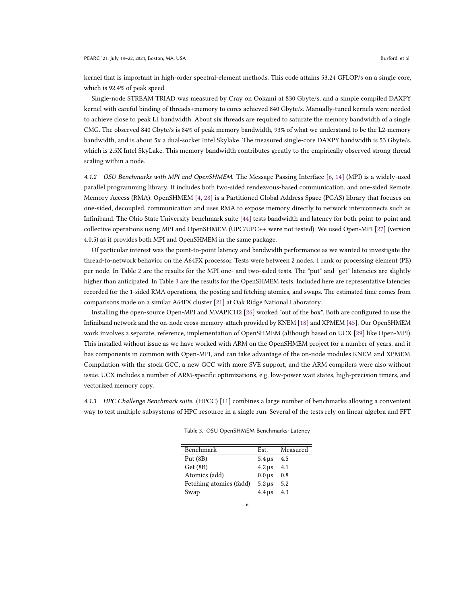kernel that is important in high-order spectral-element methods. This code attains 53.24 GFLOP/s on a single core, which is 92.4% of peak speed.

Single-node STREAM TRIAD was measured by Cray on Ookami at 830 Gbyte/s, and a simple compiled DAXPY kernel with careful binding of threads+memory to cores achieved 840 Gbyte/s. Manually-tuned kernels were needed to achieve close to peak L1 bandwidth. About six threads are required to saturate the memory bandwidth of a single CMG. The observed 840 Gbyte/s is 84% of peak memory bandwidth, 93% of what we understand to be the L2-memory bandwidth, and is about 5x a dual-socket Intel Skylake. The measured single-core DAXPY bandwidth is 53 Gbyte/s, which is 2.5X Intel SkyLake. This memory bandwidth contributes greatly to the empirically observed strong thread scaling within a node.

<span id="page-5-0"></span>4.1.2 OSU Benchmarks with MPI and OpenSHMEM. The Message Passing Interface [\[6,](#page-12-6) [14\]](#page-12-7) (MPI) is a widely-used parallel programming library. It includes both two-sided rendezvous-based communication, and one-sided Remote Memory Access (RMA). OpenSHMEM [\[4,](#page-12-8) [28\]](#page-13-11) is a Partitioned Global Address Space (PGAS) library that focuses on one-sided, decoupled, communication and uses RMA to expose memory directly to network interconnects such as Infiniband. The Ohio State University benchmark suite [\[44\]](#page-13-12) tests bandwidth and latency for both point-to-point and collective operations using MPI and OpenSHMEM (UPC/UPC++ were not tested). We used Open-MPI [\[27\]](#page-13-13) (version 4.0.5) as it provides both MPI and OpenSHMEM in the same package.

Of particular interest was the point-to-point latency and bandwidth performance as we wanted to investigate the thread-to-network behavior on the A64FX processor. Tests were between 2 nodes, 1 rank or processing element (PE) per node. In Table [2](#page-4-0) are the results for the MPI one- and two-sided tests. The "put" and "get" latencies are slightly higher than anticipated. In Table [3](#page-5-1) are the results for the OpenSHMEM tests. Included here are representative latencies recorded for the 1-sided RMA operations, the posting and fetching atomics, and swaps. The estimated time comes from comparisons made on a similar A64FX cluster [\[21\]](#page-13-14) at Oak Ridge National Laboratory.

Installing the open-source Open-MPI and MVAPICH2 [\[26\]](#page-13-15) worked "out of the box". Both are configured to use the Infiniband network and the on-node cross-memory-attach provided by KNEM [\[18\]](#page-12-9) and XPMEM [\[45\]](#page-13-16). Our OpenSHMEM work involves a separate, reference, implementation of OpenSHMEM (although based on UCX [\[29\]](#page-13-17) like Open-MPI). This installed without issue as we have worked with ARM on the OpenSHMEM project for a number of years, and it has components in common with Open-MPI, and can take advantage of the on-node modules KNEM and XPMEM. Compilation with the stock GCC, a new GCC with more SVE support, and the ARM compilers were also without issue. UCX includes a number of ARM-specific optimizations, e.g. low-power wait states, high-precision timers, and vectorized memory copy.

<span id="page-5-1"></span>4.1.3 HPC Challenge Benchmark suite. (HPCC) [\[11\]](#page-12-10) combines a large number of benchmarks allowing a convenient way to test multiple subsystems of HPC resource in a single run. Several of the tests rely on linear algebra and FFT

| Benchmark               | Est.          | Measured |
|-------------------------|---------------|----------|
| Put $(8B)$              | $5.4 \,\mu s$ | 4.5      |
| Get (8B)                | $4.2 \,\mu s$ | 4.1      |
| Atomics (add)           | $0.0 \,\mu s$ | 0.8      |
| Fetching atomics (fadd) | $5.2 \,\mu s$ | 5.2      |
| Swap                    | $4.4 \,\mu s$ | 4.3      |

Table 3. OSU OpenSHMEM Benchmarks: Latency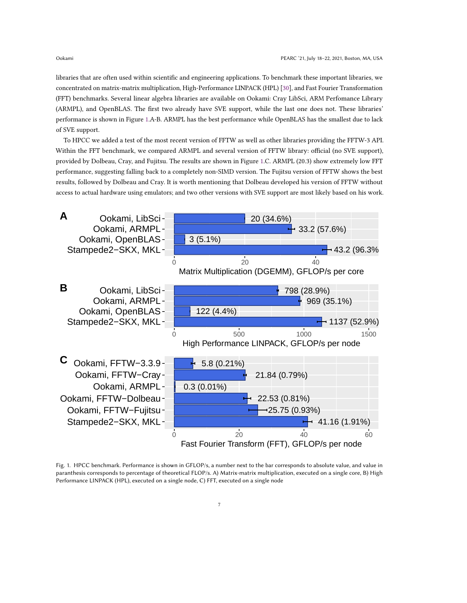libraries that are often used within scientific and engineering applications. To benchmark these important libraries, we concentrated on matrix-matrix multiplication, High-Performance LINPACK (HPL) [\[30\]](#page-13-18), and Fast Fourier Transformation (FFT) benchmarks. Several linear algebra libraries are available on Ookami: Cray LibSci, ARM Perfomance Library (ARMPL), and OpenBLAS. The first two already have SVE support, while the last one does not. These libraries' performance is shown in Figure [1.](#page-6-0)A-B. ARMPL has the best performance while OpenBLAS has the smallest due to lack of SVE support.

To HPCC we added a test of the most recent version of FFTW as well as other libraries providing the FFTW-3 API. Within the FFT benchmark, we compared ARMPL and several version of FFTW library: official (no SVE support), provided by Dolbeau, Cray, and Fujitsu. The results are shown in Figure [1.](#page-6-0)C. ARMPL (20.3) show extremely low FFT performance, suggesting falling back to a completely non-SIMD version. The Fujitsu version of FFTW shows the best results, followed by Dolbeau and Cray. It is worth mentioning that Dolbeau developed his version of FFTW without access to actual hardware using emulators; and two other versions with SVE support are most likely based on his work.

<span id="page-6-0"></span>

Fig. 1. HPCC benchmark. Performance is shown in GFLOP/s, a number next to the bar corresponds to absolute value, and value in paranthesis corresponds to percentage of theoretical FLOP/s. A) Matrix-matrix multiplication, executed on a single core, B) High Performance LINPACK (HPL), executed on a single node, C) FFT, executed on a single node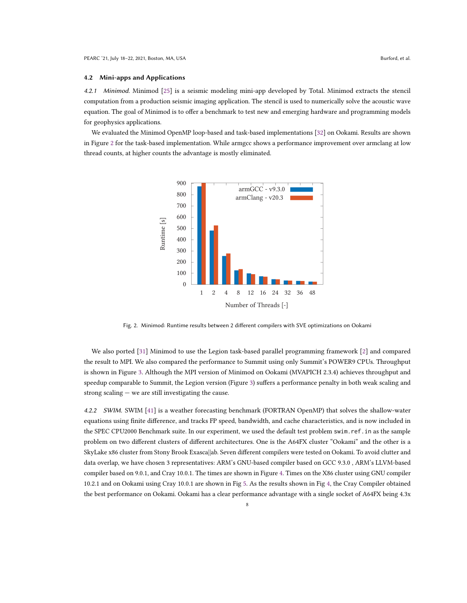4.2.1 Minimod. Minimod [\[25\]](#page-13-19) is a seismic modeling mini-app developed by Total. Minimod extracts the stencil computation from a production seismic imaging application. The stencil is used to numerically solve the acoustic wave equation. The goal of Minimod is to offer a benchmark to test new and emerging hardware and programming models for geophysics applications.

<span id="page-7-0"></span>We evaluated the Minimod OpenMP loop-based and task-based implementations [\[32\]](#page-13-20) on Ookami. Results are shown in Figure [2](#page-7-0) for the task-based implementation. While armgcc shows a performance improvement over armclang at low thread counts, at higher counts the advantage is mostly eliminated.



Fig. 2. Minimod: Runtime results between 2 different compilers with SVE optimizations on Ookami

We also ported [\[31\]](#page-13-21) Minimod to use the Legion task-based parallel programming framework [\[2\]](#page-12-11) and compared the result to MPI. We also compared the performance to Summit using only Summit's POWER9 CPUs. Throughput is shown in Figure [3.](#page-8-0) Although the MPI version of Minimod on Ookami (MVAPICH 2.3.4) achieves throughput and speedup comparable to Summit, the Legion version (Figure [3\)](#page-8-0) suffers a performance penalty in both weak scaling and strong scaling — we are still investigating the cause.

4.2.2 SWIM. SWIM [\[41\]](#page-13-22) is a weather forecasting benchmark (FORTRAN OpenMP) that solves the shallow-water equations using finite difference, and tracks FP speed, bandwidth, and cache characteristics, and is now included in the SPEC CPU2000 Benchmark suite. In our experiment, we used the default test problem swim.ref.in as the sample problem on two different clusters of different architectures. One is the A64FX cluster "Ookami" and the other is a SkyLake x86 cluster from Stony Brook Exasca||ab. Seven different compilers were tested on Ookami. To avoid clutter and data overlap, we have chosen 3 representatives: ARM's GNU-based compiler based on GCC 9.3.0 , ARM's LLVM-based compiler based on 9.0.1, and Cray 10.0.1. The times are shown in Figure [4.](#page-8-1) Times on the X86 cluster using GNU compiler 10.2.1 and on Ookami using Cray 10.0.1 are shown in Fig [5.](#page-9-0) As the results shown in Fig [4,](#page-8-1) the Cray Compiler obtained the best performance on Ookami. Ookami has a clear performance advantage with a single socket of A64FX being 4.3x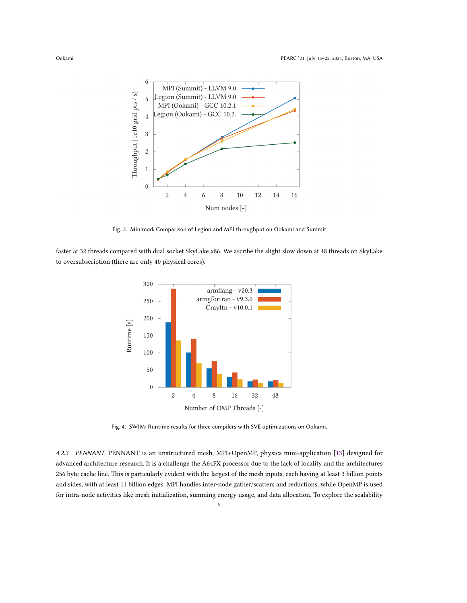<span id="page-8-0"></span>

Fig. 3. Minimod: Comparison of Legion and MPI throughput on Ookami and Summit

<span id="page-8-1"></span>faster at 32 threads compared with dual socket SkyLake x86. We ascribe the slight slow down at 48 threads on SkyLake to oversubscription (there are only 40 physical cores).



Fig. 4. SWIM: Runtime results for three compilers with SVE optimizations on Ookami.

4.2.3 PENNANT. PENNANT is an unstructured mesh, MPI+OpenMP, physics mini-application [\[13\]](#page-12-12) designed for advanced architecture research. It is a challenge the A64FX processor due to the lack of locality and the architectures 256 byte cache line. This is particularly evident with the largest of the mesh inputs, each having at least 3 billion points and sides, with at least 11 billion edges. MPI handles inter-node gather/scatters and reductions, while OpenMP is used for intra-node activities like mesh initialization, summing energy usage, and data allocation. To explore the scalability

9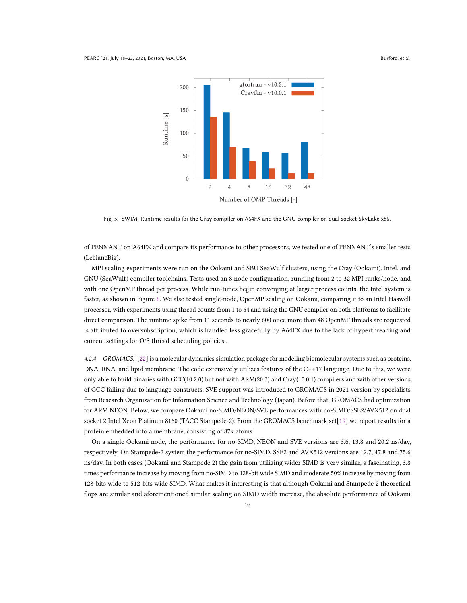<span id="page-9-0"></span>

Fig. 5. SWIM: Runtime results for the Cray compiler on A64FX and the GNU compiler on dual socket SkyLake x86.

of PENNANT on A64FX and compare its performance to other processors, we tested one of PENNANT's smaller tests (LeblancBig).

MPI scaling experiments were run on the Ookami and SBU SeaWulf clusters, using the Cray (Ookami), Intel, and GNU (SeaWulf) compiler toolchains. Tests used an 8 node configuration, running from 2 to 32 MPI ranks/node, and with one OpenMP thread per process. While run-times begin converging at larger process counts, the Intel system is faster, as shown in Figure [6.](#page-10-0) We also tested single-node, OpenMP scaling on Ookami, comparing it to an Intel Haswell processor, with experiments using thread counts from 1 to 64 and using the GNU compiler on both platforms to facilitate direct comparison. The runtime spike from 11 seconds to nearly 600 once more than 48 OpenMP threads are requested is attributed to oversubscription, which is handled less gracefully by A64FX due to the lack of hyperthreading and current settings for O/S thread scheduling policies .

4.2.4 GROMACS. [\[22\]](#page-13-23) is a molecular dynamics simulation package for modeling biomolecular systems such as proteins, DNA, RNA, and lipid membrane. The code extensively utilizes features of the C++17 language. Due to this, we were only able to build binaries with GCC(10.2.0) but not with ARM(20.3) and Cray(10.0.1) compilers and with other versions of GCC failing due to language constructs. SVE support was introduced to GROMACS in 2021 version by specialists from Research Organization for Information Science and Technology (Japan). Before that, GROMACS had optimization for ARM NEON. Below, we compare Ookami no-SIMD/NEON/SVE performances with no-SIMD/SSE2/AVX512 on dual socket 2 Intel Xeon Platinum 8160 (TACC Stampede-2). From the GROMACS benchmark set[\[19\]](#page-12-13) we report results for a protein embedded into a membrane, consisting of 87k atoms.

On a single Ookami node, the performance for no-SIMD, NEON and SVE versions are 3.6, 13.8 and 20.2 ns/day, respectively. On Stampede-2 system the performance for no-SIMD, SSE2 and AVX512 versions are 12.7, 47.8 and 75.6 ns/day. In both cases (Ookami and Stampede 2) the gain from utilizing wider SIMD is very similar, a fascinating, 3.8 times performance increase by moving from no-SIMD to 128-bit wide SIMD and moderate 50% increase by moving from 128-bits wide to 512-bits wide SIMD. What makes it interesting is that although Ookami and Stampede 2 theoretical flops are similar and aforementioned similar scaling on SIMD width increase, the absolute performance of Ookami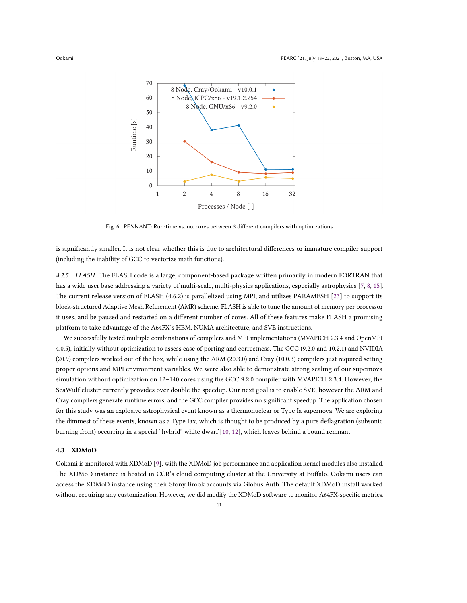<span id="page-10-0"></span>

Fig. 6. PENNANT: Run-time vs. no. cores between 3 different compilers with optimizations

is significantly smaller. It is not clear whether this is due to architectural differences or immature compiler support (including the inability of GCC to vectorize math functions).

4.2.5 FLASH. The FLASH code is a large, component-based package written primarily in modern FORTRAN that has a wide user base addressing a variety of multi-scale, multi-physics applications, especially astrophysics [\[7,](#page-12-14) [8,](#page-12-15) [15\]](#page-12-16). The current release version of FLASH (4.6.2) is parallelized using MPI, and utilizes PARAMESH [\[23\]](#page-13-24) to support its block-structured Adaptive Mesh Refinement (AMR) scheme. FLASH is able to tune the amount of memory per processor it uses, and be paused and restarted on a different number of cores. All of these features make FLASH a promising platform to take advantage of the A64FX's HBM, NUMA architecture, and SVE instructions.

We successfully tested multiple combinations of compilers and MPI implementations (MVAPICH 2.3.4 and OpenMPI 4.0.5), initially without optimization to assess ease of porting and correctness. The GCC (9.2.0 and 10.2.1) and NVIDIA (20.9) compilers worked out of the box, while using the ARM (20.3.0) and Cray (10.0.3) compilers just required setting proper options and MPI environment variables. We were also able to demonstrate strong scaling of our supernova simulation without optimization on 12–140 cores using the GCC 9.2.0 compiler with MVAPICH 2.3.4. However, the SeaWulf cluster currently provides over double the speedup. Our next goal is to enable SVE, however the ARM and Cray compilers generate runtime errors, and the GCC compiler provides no significant speedup. The application chosen for this study was an explosive astrophysical event known as a thermonuclear or Type Ia supernova. We are exploring the dimmest of these events, known as a Type Iax, which is thought to be produced by a pure deflagration (subsonic burning front) occurring in a special "hybrid" white dwarf [\[10,](#page-12-17) [12\]](#page-12-18), which leaves behind a bound remnant.

## 4.3 XDMoD

Ookami is monitored with XDMoD [\[9\]](#page-12-19), with the XDMoD job performance and application kernel modules also installed. The XDMoD instance is hosted in CCR's cloud computing cluster at the University at Buffalo. Ookami users can access the XDMoD instance using their Stony Brook accounts via Globus Auth. The default XDMoD install worked without requiring any customization. However, we did modify the XDMoD software to monitor A64FX-specific metrics.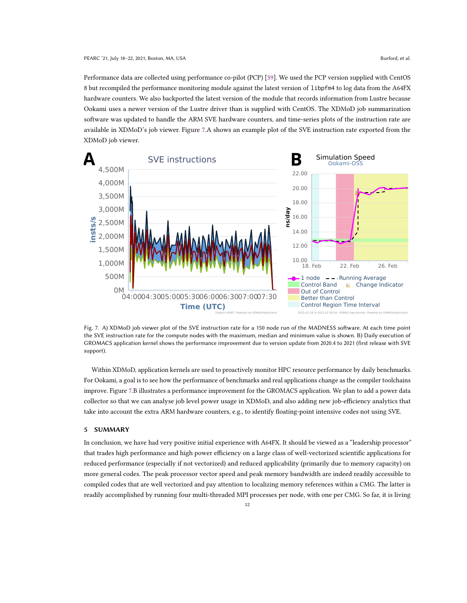Performance data are collected using performance co-pilot (PCP) [\[39\]](#page-13-25). We used the PCP version supplied with CentOS 8 but recompiled the performance monitoring module against the latest version of libpfm4 to log data from the A64FX hardware counters. We also backported the latest version of the module that records information from Lustre because Ookami uses a newer version of the Lustre driver than is supplied with CentOS. The XDMoD job summarization software was updated to handle the ARM SVE hardware counters, and time-series plots of the instruction rate are available in XDMoD's job viewer. Figure [7.](#page-11-0)A shows an example plot of the SVE instruction rate exported from the XDMoD job viewer.

<span id="page-11-0"></span>

Fig. 7. A) XDMoD job viewer plot of the SVE instruction rate for a 150 node run of the MADNESS software. At each time point the SVE instruction rate for the compute nodes with the maximum, median and minimum value is shown. B) Daily execution of GROMACS application kernel shows the performance improvement due to version update from 2020.4 to 2021 (first release with SVE support).

Within XDMoD, application kernels are used to proactively monitor HPC resource performance by daily benchmarks. For Ookami, a goal is to see how the performance of benchmarks and real applications change as the compiler toolchains improve. Figure [7.](#page-11-0)B illustrates a performance improvement for the GROMACS application. We plan to add a power data collector so that we can analyse job level power usage in XDMoD, and also adding new job-efficiency analytics that take into account the extra ARM hardware counters, e.g., to identify floating-point intensive codes not using SVE.

#### 5 SUMMARY

In conclusion, we have had very positive initial experience with A64FX. It should be viewed as a "leadership processor" that trades high performance and high power efficiency on a large class of well-vectorized scientific applications for reduced performance (especially if not vectorized) and reduced applicability (primarily due to memory capacity) on more general codes. The peak processor vector speed and peak memory bandwidth are indeed readily accessible to compiled codes that are well vectorized and pay attention to localizing memory references within a CMG. The latter is readily accomplished by running four multi-threaded MPI processes per node, with one per CMG. So far, it is living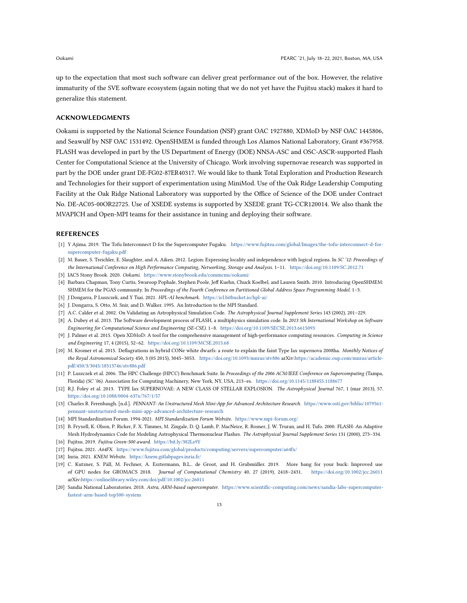up to the expectation that most such software can deliver great performance out of the box. However, the relative immaturity of the SVE software ecosystem (again noting that we do not yet have the Fujitsu stack) makes it hard to generalize this statement.

# ACKNOWLEDGMENTS

Ookami is supported by the National Science Foundation (NSF) grant OAC 1927880, XDMoD by NSF OAC 1445806, and Seawulf by NSF OAC 1531492. OpenSHMEM is funded through Los Alamos National Laboratory, Grant #367958. FLASH was developed in part by the US Department of Energy (DOE) NNSA-ASC and OSC-ASCR-supported Flash Center for Computational Science at the University of Chicago. Work involving supernovae research was supported in part by the DOE under grant DE-FG02-87ER40317. We would like to thank Total Exploration and Production Research and Technologies for their support of experimentation using MiniMod. Use of the Oak Ridge Leadership Computing Facility at the Oak Ridge National Laboratory was supported by the Office of Science of the DOE under Contract No. DE-AC05-00OR22725. Use of XSEDE systems is supported by XSEDE grant TG-CCR120014. We also thank the MVAPICH and Open-MPI teams for their assistance in tuning and deploying their software.

## **REFERENCES**

- <span id="page-12-4"></span>[1] Y Ajima. 2019. The Tofu Interconnect D for the Supercomputer Fugaku. [https://www.fujitsu.com/global/Images/the-tofu-interconnect-d-for](https://www.fujitsu.com/global/Images/the-tofu-interconnect-d-for-supercomputer-fugaku.pdf)[supercomputer-fugaku.pdf](https://www.fujitsu.com/global/Images/the-tofu-interconnect-d-for-supercomputer-fugaku.pdf)
- <span id="page-12-11"></span>[2] M. Bauer, S. Treichler, E. Slaughter, and A. Aiken. 2012. Legion: Expressing locality and independence with logical regions. In SC '12: Proceedings of the International Conference on High Performance Computing, Networking, Storage and Analysis. 1–11. <https://doi.org/10.1109/SC.2012.71>
- <span id="page-12-0"></span>[3] IACS Stony Brook. 2020. Ookami. <https://www.stonybrook.edu/commcms/ookami/>
- <span id="page-12-8"></span>[4] Barbara Chapman, Tony Curtis, Swaroop Pophale, Stephen Poole, Jeff Kuehn, Chuck Koelbel, and Lauren Smith. 2010. Introducing OpenSHMEM: SHMEM for the PGAS community. In Proceedings of the Fourth Conference on Partitioned Global Address Space Programming Model. 1–3.
- <span id="page-12-2"></span>[5] J Dongarra, P Luszczek, and Y Tsai. 2021. HPL-AI benchmark. <https://icl.bitbucket.io/hpl-ai/>
- <span id="page-12-6"></span>[6] J. Dongarra, S. Otto, M. Snir, and D. Walker. 1995. An Introduction to the MPI Standard.
- <span id="page-12-14"></span>[7] A.C. Calder et al. 2002. On Validating an Astrophysical Simulation Code. The Astrophysical Journal Supplement Series 143 (2002), 201–229.
- <span id="page-12-15"></span>[8] A. Dubey et al. 2013. The Software development process of FLASH, a multiphysics simulation code. In 2013 5th International Workshop on Software Engineering for Computational Science and Engineering (SE-CSE). 1–8. <https://doi.org/10.1109/SECSE.2013.6615093>
- <span id="page-12-19"></span>[9] J. Palmer et al. 2015. Open XDMoD: A tool for the comprehensive management of high-performance computing resources. Computing in Science and Engineering 17, 4 (2015), 52–62. <https://doi.org/10.1109/MCSE.2015.68>
- <span id="page-12-17"></span>[10] M. Kromer et al. 2015. Deflagrations in hybrid CONe white dwarfs: a route to explain the faint Type Iax supernova 2008ha. Monthly Notices of the Royal Astronomical Society 450, 3 (05 2015), 3045-3053. <https://doi.org/10.1093/mnras/stv886> arXiv[:https://academic.oup.com/mnras/article](https://arxiv.org/abs/https://academic.oup.com/mnras/article-pdf/450/3/3045/18513746/stv886.pdf)[pdf/450/3/3045/18513746/stv886.pdf](https://arxiv.org/abs/https://academic.oup.com/mnras/article-pdf/450/3/3045/18513746/stv886.pdf)
- <span id="page-12-10"></span>[11] P. Luszczek et al. 2006. The HPC Challenge (HPCC) Benchmark Suite. In Proceedings of the 2006 ACM/IEEE Conference on Supercomputing (Tampa, Florida) (SC '06). Association for Computing Machinery, New York, NY, USA, 213–es. <https://doi.org/10.1145/1188455.1188677>
- <span id="page-12-18"></span>[12] R.J. Foley et al. 2013. TYPE Iax SUPERNOVAE: A NEW CLASS OF STELLAR EXPLOSION. The Astrophysical Journal 767, 1 (mar 2013), 57. <https://doi.org/10.1088/0004-637x/767/1/57>
- <span id="page-12-12"></span>[13] Charles R. Ferenbaugh. [n.d.]. PENNANT: An Unstructured Mesh Mini-App for Advanced Architecture Research. [https://www.osti.gov/biblio/1079561](https://www.osti.gov/biblio/1079561-pennant-unstructured-mesh-mini-app-advanced-architecture-research) [pennant-unstructured-mesh-mini-app-advanced-architecture-research](https://www.osti.gov/biblio/1079561-pennant-unstructured-mesh-mini-app-advanced-architecture-research)
- <span id="page-12-7"></span>[14] MPI Standardization Forum. 1994-2021. MPI Standardization Forum Website. <https://www.mpi-forum.org/>
- <span id="page-12-16"></span>[15] B. Fryxell, K. Olson, P. Ricker, F. X. Timmes, M. Zingale, D. Q. Lamb, P. MacNeice, R. Rosner, J. W. Truran, and H. Tufo. 2000. FLASH: An Adaptive Mesh Hydrodynamics Code for Modeling Astrophysical Thermonuclear Flashes. The Astrophysical Journal Supplement Series 131 (2000), 273–334.
- <span id="page-12-3"></span><span id="page-12-1"></span>[16] Fujitsu. 2019. Fujitsu Green-500 award. <https://bit.ly/382Ls9Y>
- <span id="page-12-9"></span>[17] Fujitsu. 2021. A64FX. <https://www.fujitsu.com/global/products/computing/servers/supercomputer/a64fx/>
- [18] Inria. 2021. KNEM Website. <https://knem.gitlabpages.inria.fr/>
- <span id="page-12-13"></span>[19] C. Kutzner, S. Páll, M. Fechner, A. Esztermann, B.L.. de Groot, and H. Grubmüller. 2019. More bang for your buck: Improved use of GPU nodes for GROMACS 2018. Journal of Computational Chemistry 40, 27 (2019), 2418–2431. <https://doi.org/10.1002/jcc.26011> arXiv[:https://onlinelibrary.wiley.com/doi/pdf/10.1002/jcc.26011](https://arxiv.org/abs/https://onlinelibrary.wiley.com/doi/pdf/10.1002/jcc.26011)
- <span id="page-12-5"></span>[20] Sandia National Laboratories. 2018. Astra, ARM-based supercomputer. [https://www.scientific-computing.com/news/sandia-labs-supercomputer](https://www.scientific-computing.com/news/sandia-labs-supercomputer-fastest-arm-based-top500-system)[fastest-arm-based-top500-system](https://www.scientific-computing.com/news/sandia-labs-supercomputer-fastest-arm-based-top500-system)